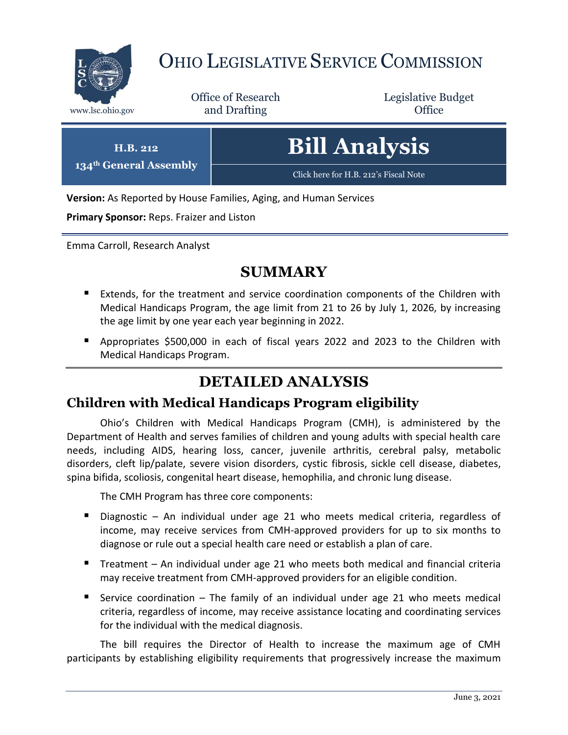

 $134^{\text{th}}$  **G** 

# OHIO LEGISLATIVE SERVICE COMMISSION

Office of Research www.lsc.ohio.gov **and Drafting Office** 

Legislative Budget

| H.B. 212<br><b>General Assembly'</b> | <b>Bill Analysis</b>                  |
|--------------------------------------|---------------------------------------|
|                                      | Click here for H.B. 212's Fiscal Note |

**Version:** As Reported by House Families, Aging, and Human Services

**Primary Sponsor:** Reps. Fraizer and Liston

Emma Carroll, Research Analyst

#### **SUMMARY**

- Extends, for the treatment and service coordination components of the Children with Medical Handicaps Program, the age limit from 21 to 26 by July 1, 2026, by increasing the age limit by one year each year beginning in 2022.
- Appropriates \$500,000 in each of fiscal years 2022 and 2023 to the Children with Medical Handicaps Program.

### **DETAILED ANALYSIS**

#### **Children with Medical Handicaps Program eligibility**

Ohio's Children with Medical Handicaps Program (CMH), is administered by the Department of Health and serves families of children and young adults with special health care needs, including AIDS, hearing loss, cancer, juvenile arthritis, cerebral palsy, metabolic disorders, cleft lip/palate, severe vision disorders, cystic fibrosis, sickle cell disease, diabetes, spina bifida, scoliosis, congenital heart disease, hemophilia, and chronic lung disease.

The CMH Program has three core components:

- Diagnostic An individual under age 21 who meets medical criteria, regardless of income, may receive services from CMH-approved providers for up to six months to diagnose or rule out a special health care need or establish a plan of care.
- Treatment An individual under age 21 who meets both medical and financial criteria may receive treatment from CMH-approved providers for an eligible condition.
- Service coordination The family of an individual under age 21 who meets medical criteria, regardless of income, may receive assistance locating and coordinating services for the individual with the medical diagnosis.

The bill requires the Director of Health to increase the maximum age of CMH participants by establishing eligibility requirements that progressively increase the maximum